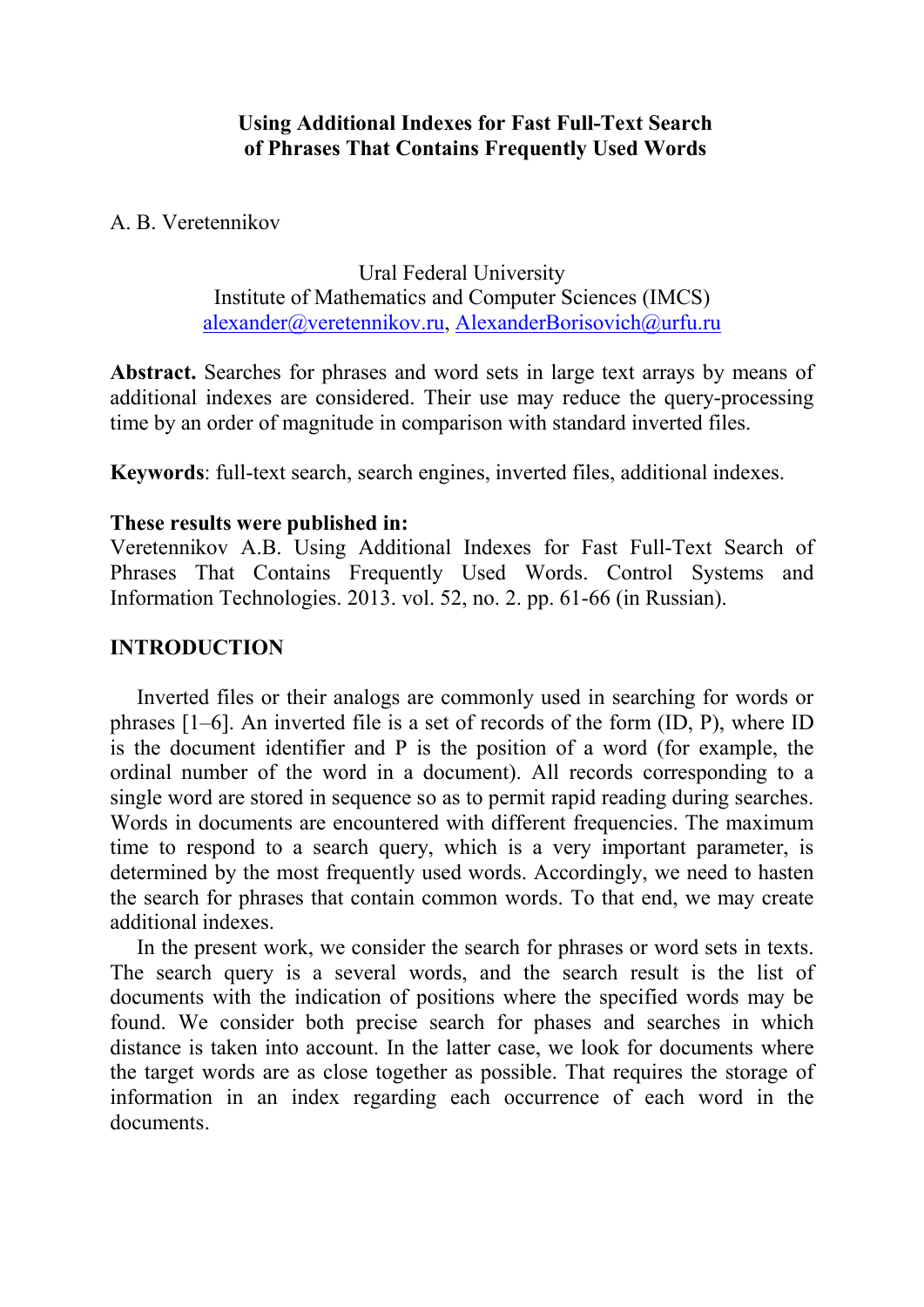### Using Additional Indexes for Fast Full-Text Search of Phrases That Contains Frequently Used Words

## A. B. Veretennikov

Ural Federal University Institute of Mathematics and Computer Sciences (IMCS) alexander@veretennikov.ru, AlexanderBorisovich@urfu.ru

Abstract. Searches for phrases and word sets in large text arrays by means of additional indexes are considered. Their use may reduce the query-processing time by an order of magnitude in comparison with standard inverted files.

Keywords: full-text search, search engines, inverted files, additional indexes.

## These results were published in:

Veretennikov A.B. Using Additional Indexes for Fast Full-Text Search of Phrases That Contains Frequently Used Words. Control Systems and Information Technologies. 2013. vol. 52, no. 2. pp. 61-66 (in Russian).

# INTRODUCTION

Inverted files or their analogs are commonly used in searching for words or phrases [1–6]. An inverted file is a set of records of the form (ID, P), where ID is the document identifier and P is the position of a word (for example, the ordinal number of the word in a document). All records corresponding to a single word are stored in sequence so as to permit rapid reading during searches. Words in documents are encountered with different frequencies. The maximum time to respond to a search query, which is a very important parameter, is determined by the most frequently used words. Accordingly, we need to hasten the search for phrases that contain common words. To that end, we may create additional indexes.

In the present work, we consider the search for phrases or word sets in texts. The search query is a several words, and the search result is the list of documents with the indication of positions where the specified words may be found. We consider both precise search for phases and searches in which distance is taken into account. In the latter case, we look for documents where the target words are as close together as possible. That requires the storage of information in an index regarding each occurrence of each word in the documents.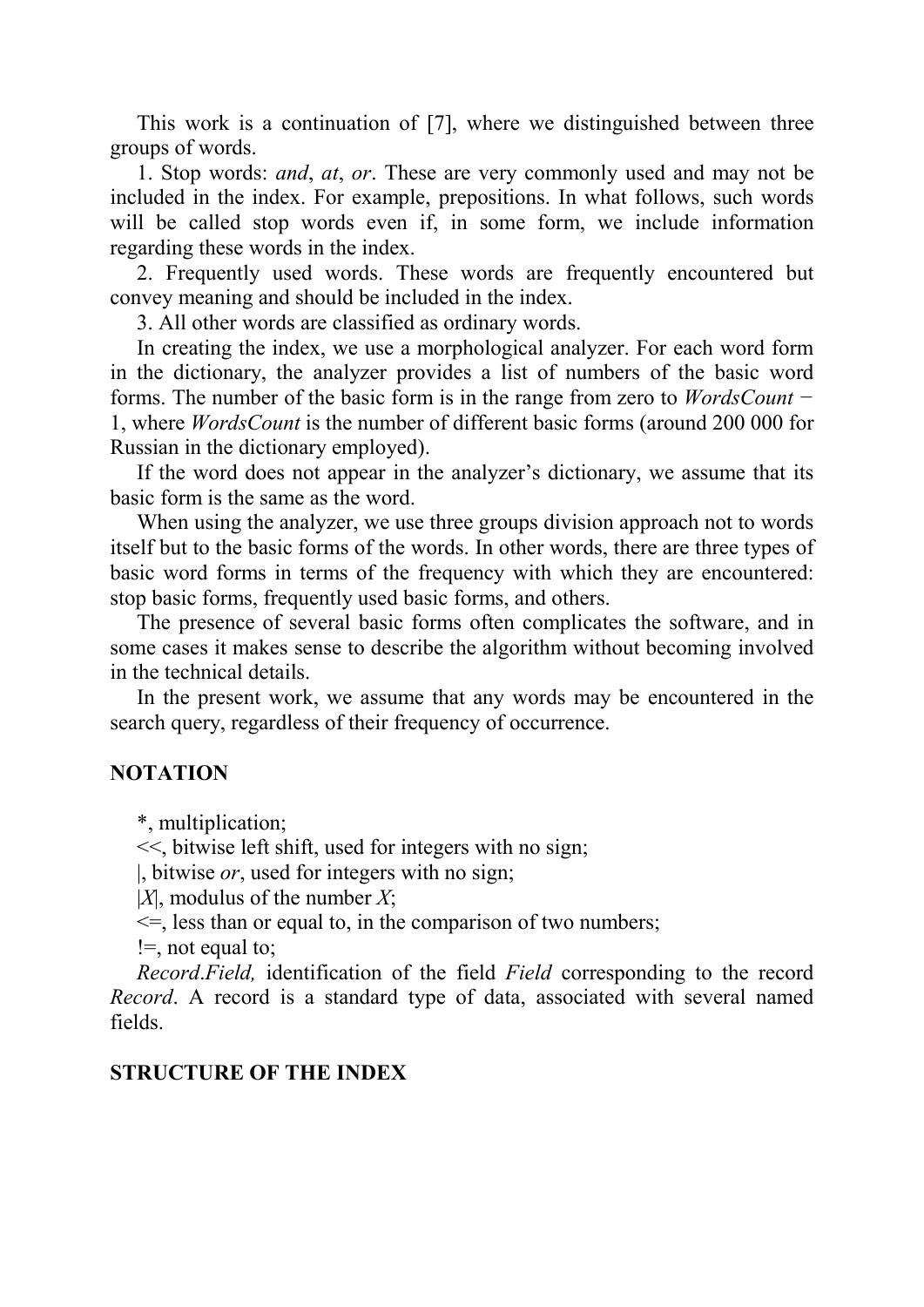This work is a continuation of [7], where we distinguished between three groups of words.

1. Stop words: *and*, *at*, *or*. These are very commonly used and may not be included in the index. For example, prepositions. In what follows, such words will be called stop words even if, in some form, we include information regarding these words in the index.

2. Frequently used words. These words are frequently encountered but convey meaning and should be included in the index.

3. All other words are classified as ordinary words.

In creating the index, we use a morphological analyzer. For each word form in the dictionary, the analyzer provides a list of numbers of the basic word forms. The number of the basic form is in the range from zero to *WordsCount −* 1, where *WordsCount* is the number of different basic forms (around 200 000 for Russian in the dictionary employed).

If the word does not appear in the analyzer's dictionary, we assume that its basic form is the same as the word.

When using the analyzer, we use three groups division approach not to words itself but to the basic forms of the words. In other words, there are three types of basic word forms in terms of the frequency with which they are encountered: stop basic forms, frequently used basic forms, and others.

The presence of several basic forms often complicates the software, and in some cases it makes sense to describe the algorithm without becoming involved in the technical details.

In the present work, we assume that any words may be encountered in the search query, regardless of their frequency of occurrence.

## **NOTATION**

\*, multiplication;

<<, bitwise left shift, used for integers with no sign;

|, bitwise *or*, used for integers with no sign;

|*X*|, modulus of the number *X*;

 $\leq$ , less than or equal to, in the comparison of two numbers;

!=, not equal to;

*Record*.*Field,* identification of the field *Field* corresponding to the record *Record*. A record is a standard type of data, associated with several named fields.

#### STRUCTURE OF THE INDEX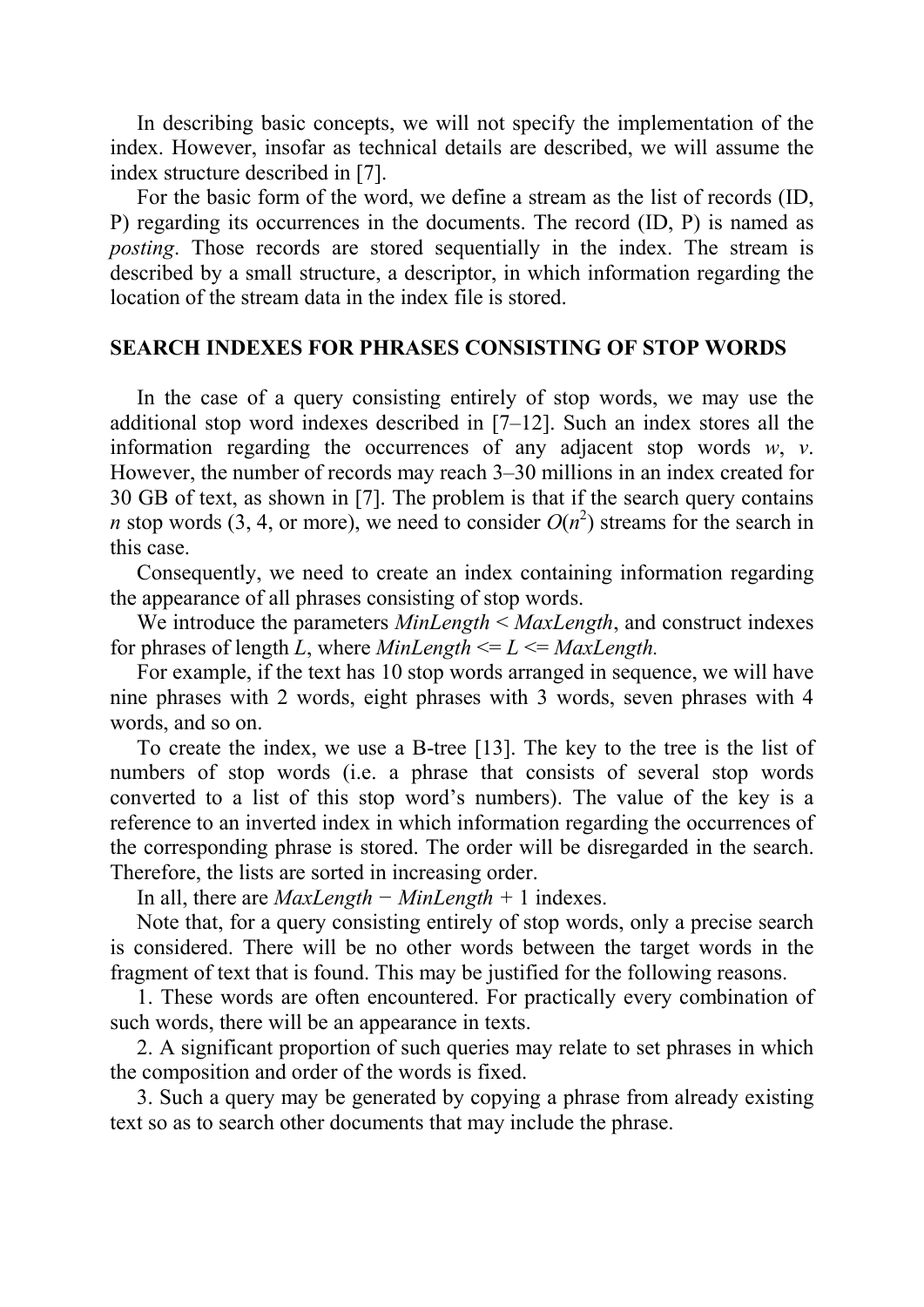In describing basic concepts, we will not specify the implementation of the index. However, insofar as technical details are described, we will assume the index structure described in [7].

For the basic form of the word, we define a stream as the list of records (ID, P) regarding its occurrences in the documents. The record (ID, P) is named as *posting*. Those records are stored sequentially in the index. The stream is described by a small structure, a descriptor, in which information regarding the location of the stream data in the index file is stored.

#### SEARCH INDEXES FOR PHRASES CONSISTING OF STOP WORDS

In the case of a query consisting entirely of stop words, we may use the additional stop word indexes described in [7–12]. Such an index stores all the information regarding the occurrences of any adjacent stop words *w*, *v*. However, the number of records may reach 3–30 millions in an index created for 30 GB of text, as shown in [7]. The problem is that if the search query contains *n* stop words (3, 4, or more), we need to consider  $O(n^2)$  streams for the search in this case.

Consequently, we need to create an index containing information regarding the appearance of all phrases consisting of stop words.

We introduce the parameters *MinLength* < *MaxLength*, and construct indexes for phrases of length *L*, where *MinLength*  $\leq L \leq MaxLength$ .

For example, if the text has 10 stop words arranged in sequence, we will have nine phrases with 2 words, eight phrases with 3 words, seven phrases with 4 words, and so on.

To create the index, we use a B-tree [13]. The key to the tree is the list of numbers of stop words (i.e. a phrase that consists of several stop words converted to a list of this stop word's numbers). The value of the key is a reference to an inverted index in which information regarding the occurrences of the corresponding phrase is stored. The order will be disregarded in the search. Therefore, the lists are sorted in increasing order.

In all, there are *MaxLength − MinLength +* 1 indexes.

Note that, for a query consisting entirely of stop words, only a precise search is considered. There will be no other words between the target words in the fragment of text that is found. This may be justified for the following reasons.

1. These words are often encountered. For practically every combination of such words, there will be an appearance in texts.

2. A significant proportion of such queries may relate to set phrases in which the composition and order of the words is fixed.

3. Such a query may be generated by copying a phrase from already existing text so as to search other documents that may include the phrase.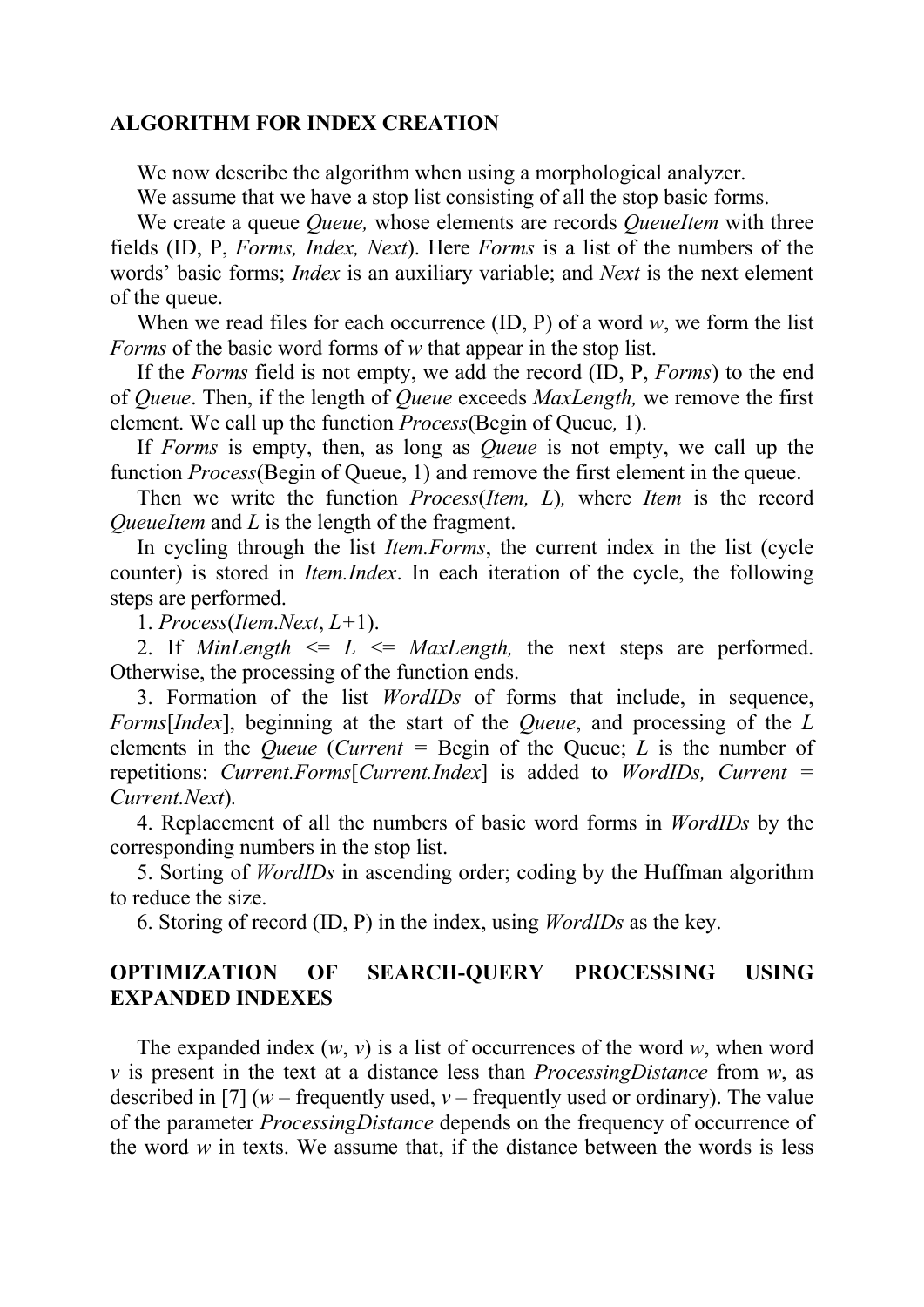#### ALGORITHM FOR INDEX CREATION

We now describe the algorithm when using a morphological analyzer.

We assume that we have a stop list consisting of all the stop basic forms.

We create a queue *Queue,* whose elements are records *QueueItem* with three fields (ID, P, *Forms, Index, Next*). Here *Forms* is a list of the numbers of the words' basic forms; *Index* is an auxiliary variable; and *Next* is the next element of the queue.

When we read files for each occurrence (ID, P) of a word *w*, we form the list *Forms* of the basic word forms of *w* that appear in the stop list.

If the *Forms* field is not empty, we add the record (ID, P, *Forms*) to the end of *Queue*. Then, if the length of *Queue* exceeds *MaxLength,* we remove the first element. We call up the function *Process*(Begin of Queue*,* 1).

If *Forms* is empty, then, as long as *Queue* is not empty, we call up the function *Process*(Begin of Queue, 1) and remove the first element in the queue.

Then we write the function *Process*(*Item, L*)*,* where *Item* is the record *QueueItem and L is the length of the fragment.* 

In cycling through the list *Item.Forms*, the current index in the list (cycle counter) is stored in *Item.Index*. In each iteration of the cycle, the following steps are performed.

1. *Process*(*Item*.*Next*, *L+*1).

2. If *MinLength*  $\leq L \leq MaxLength$ , the next steps are performed. Otherwise, the processing of the function ends.

3. Formation of the list *WordIDs* of forms that include, in sequence, *Forms*[*Index*], beginning at the start of the *Queue*, and processing of the *L* elements in the *Queue* (*Current* = Begin of the Queue; *L* is the number of repetitions: *Current.Forms*[*Current.Index*] is added to *WordIDs, Current = Current.Next*)*.*

4. Replacement of all the numbers of basic word forms in *WordIDs* by the corresponding numbers in the stop list.

5. Sorting of *WordIDs* in ascending order; coding by the Huffman algorithm to reduce the size.

6. Storing of record (ID, P) in the index, using *WordIDs* as the key.

## OPTIMIZATION OF SEARCH-QUERY PROCESSING USING EXPANDED INDEXES

The expanded index (*w*, *v*) is a list of occurrences of the word *w*, when word *v* is present in the text at a distance less than *ProcessingDistance* from *w*, as described in [7] ( $w$  – frequently used,  $v$  – frequently used or ordinary). The value of the parameter *ProcessingDistance* depends on the frequency of occurrence of the word *w* in texts. We assume that, if the distance between the words is less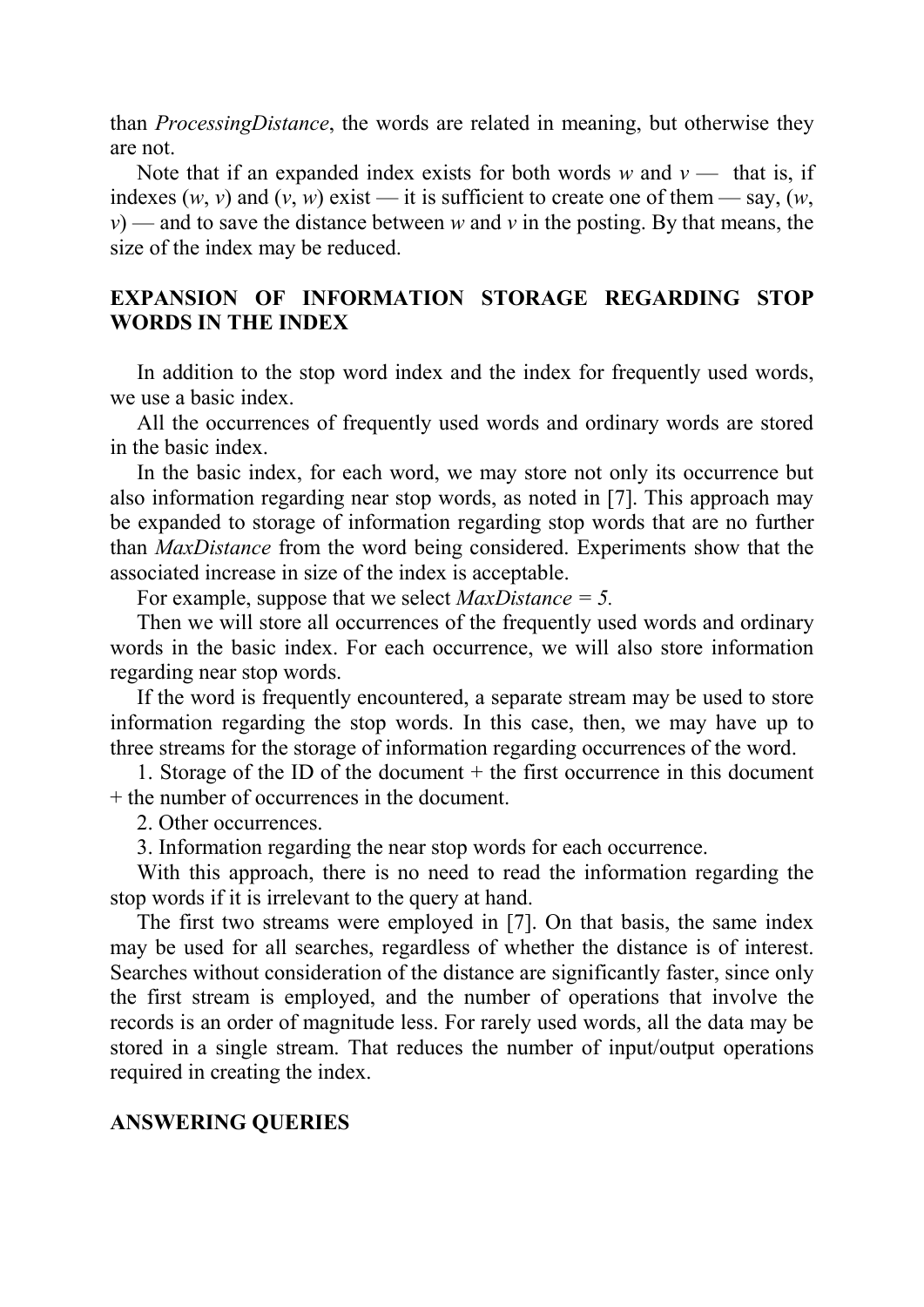than *ProcessingDistance*, the words are related in meaning, but otherwise they are not.

Note that if an expanded index exists for both words  $w$  and  $v$  — that is, if indexes  $(w, v)$  and  $(v, w)$  exist — it is sufficient to create one of them — say,  $(w, w)$ *v*) — and to save the distance between *w* and *v* in the posting. By that means, the size of the index may be reduced.

## EXPANSION OF INFORMATION STORAGE REGARDING STOP WORDS IN THE INDEX

In addition to the stop word index and the index for frequently used words, we use a basic index.

All the occurrences of frequently used words and ordinary words are stored in the basic index.

In the basic index, for each word, we may store not only its occurrence but also information regarding near stop words, as noted in [7]. This approach may be expanded to storage of information regarding stop words that are no further than *MaxDistance* from the word being considered. Experiments show that the associated increase in size of the index is acceptable.

For example, suppose that we select *MaxDistance = 5.*

Then we will store all occurrences of the frequently used words and ordinary words in the basic index. For each occurrence, we will also store information regarding near stop words.

If the word is frequently encountered, a separate stream may be used to store information regarding the stop words. In this case, then, we may have up to three streams for the storage of information regarding occurrences of the word.

1. Storage of the ID of the document + the first occurrence in this document + the number of occurrences in the document.

2. Other occurrences.

3. Information regarding the near stop words for each occurrence.

With this approach, there is no need to read the information regarding the stop words if it is irrelevant to the query at hand.

The first two streams were employed in [7]. On that basis, the same index may be used for all searches, regardless of whether the distance is of interest. Searches without consideration of the distance are significantly faster, since only the first stream is employed, and the number of operations that involve the records is an order of magnitude less. For rarely used words, all the data may be stored in a single stream. That reduces the number of input/output operations required in creating the index.

#### ANSWERING QUERIES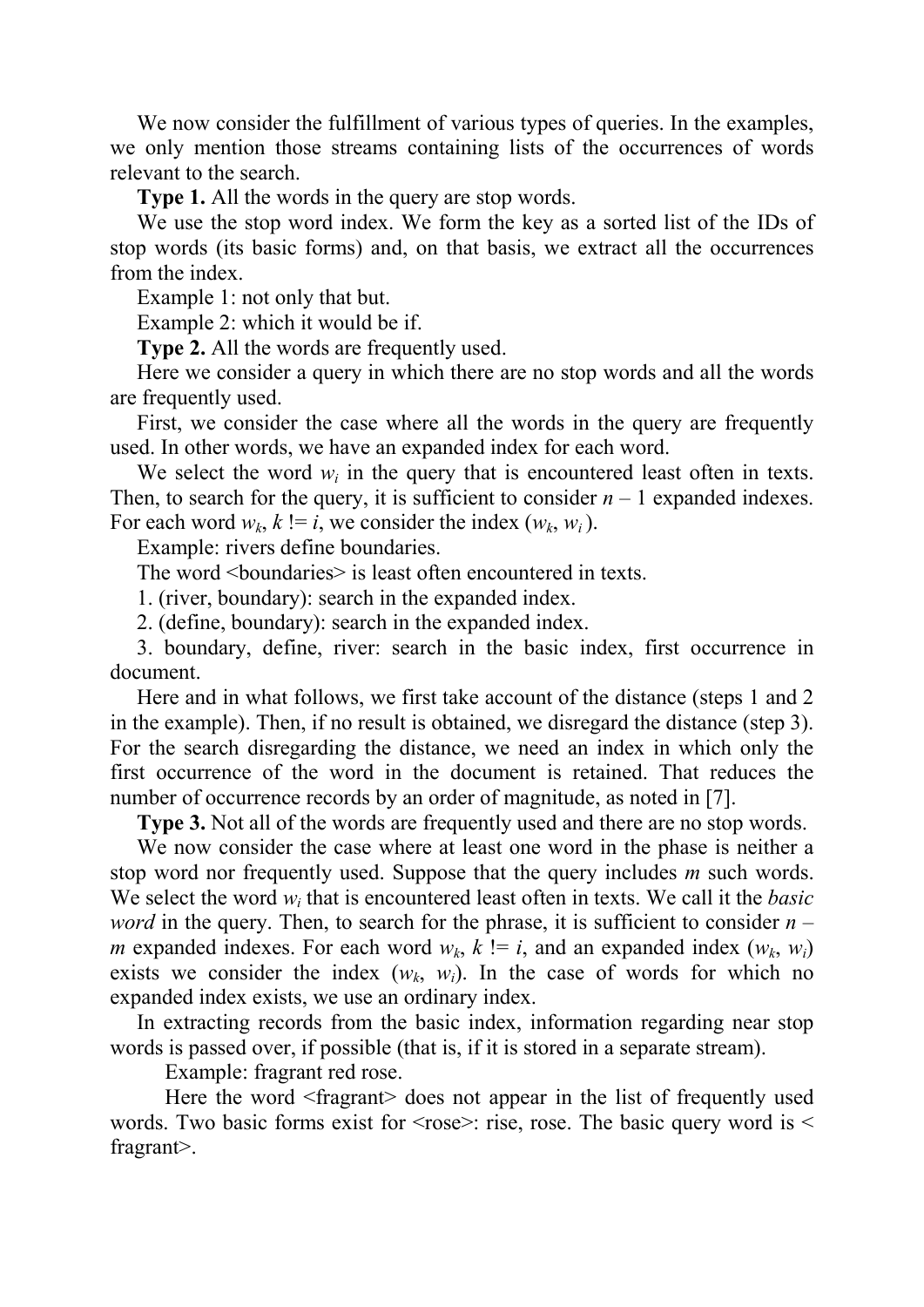We now consider the fulfillment of various types of queries. In the examples, we only mention those streams containing lists of the occurrences of words relevant to the search.

Type 1. All the words in the query are stop words.

We use the stop word index. We form the key as a sorted list of the IDs of stop words (its basic forms) and, on that basis, we extract all the occurrences from the index.

Example 1: not only that but.

Example 2: which it would be if.

Type 2. All the words are frequently used.

Here we consider a query in which there are no stop words and all the words are frequently used.

First, we consider the case where all the words in the query are frequently used. In other words, we have an expanded index for each word.

We select the word  $w_i$  in the query that is encountered least often in texts. Then, to search for the query, it is sufficient to consider  $n - 1$  expanded indexes. For each word  $w_k$ ,  $k := i$ , we consider the index  $(w_k, w_i)$ .

Example: rivers define boundaries.

The word <br/>boundaries> is least often encountered in texts.

1. (river, boundary): search in the expanded index.

2. (define, boundary): search in the expanded index.

3. boundary, define, river: search in the basic index, first occurrence in document.

Here and in what follows, we first take account of the distance (steps 1 and 2 in the example). Then, if no result is obtained, we disregard the distance (step 3). For the search disregarding the distance, we need an index in which only the first occurrence of the word in the document is retained. That reduces the number of occurrence records by an order of magnitude, as noted in [7].

Type 3. Not all of the words are frequently used and there are no stop words.

We now consider the case where at least one word in the phase is neither a stop word nor frequently used. Suppose that the query includes *m* such words. We select the word *wi* that is encountered least often in texts. We call it the *basic word* in the query. Then, to search for the phrase, it is sufficient to consider  $n$ *m* expanded indexes. For each word  $w_k$ ,  $k! = i$ , and an expanded index  $(w_k, w_i)$ exists we consider the index  $(w_k, w_i)$ . In the case of words for which no expanded index exists, we use an ordinary index.

In extracting records from the basic index, information regarding near stop words is passed over, if possible (that is, if it is stored in a separate stream).

Example: fragrant red rose.

Here the word <fragrant> does not appear in the list of frequently used words. Two basic forms exist for  $\langle$ rose $\rangle$ : rise, rose. The basic query word is  $\langle$ fragrant>.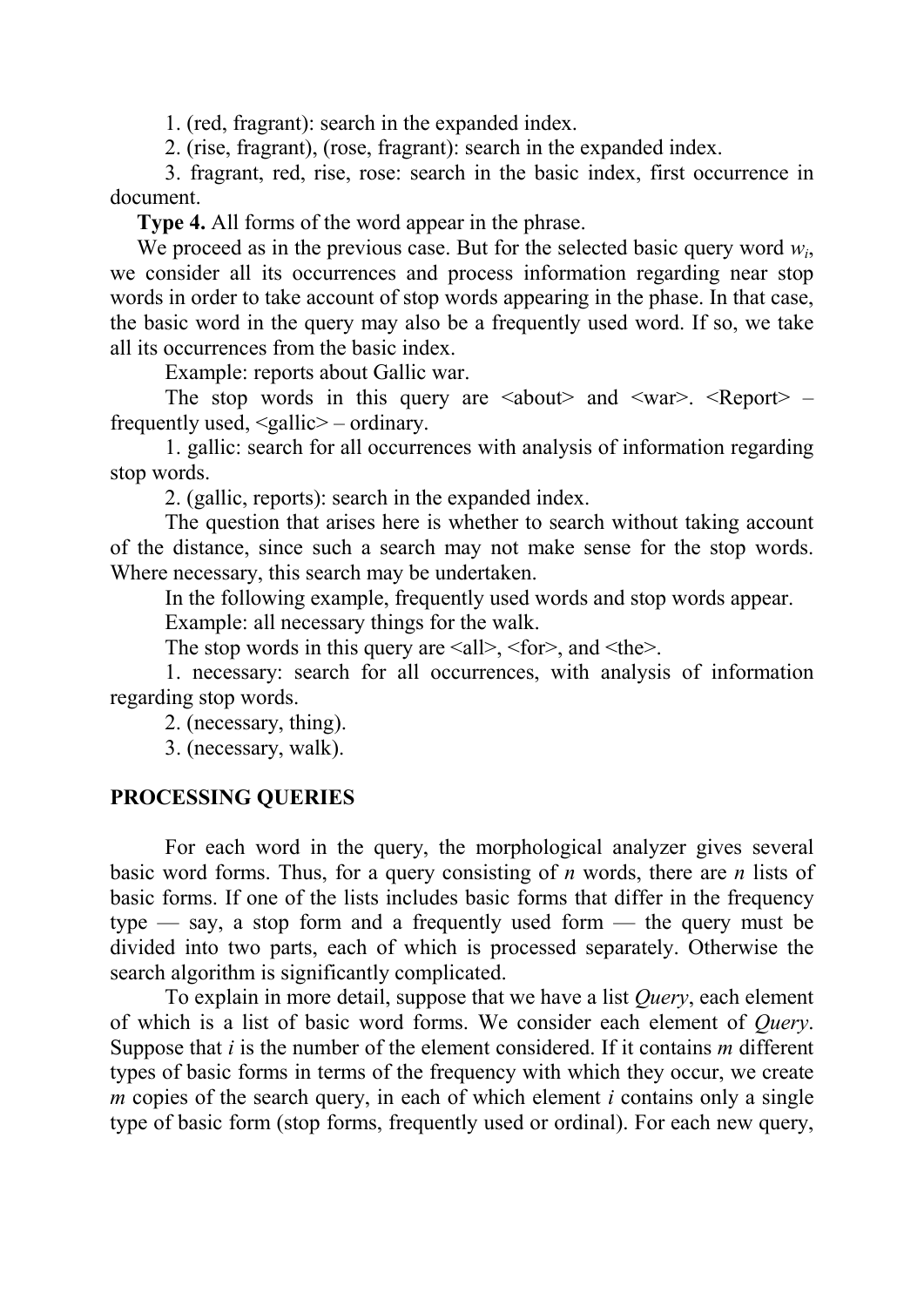1. (red, fragrant): search in the expanded index.

2. (rise, fragrant), (rose, fragrant): search in the expanded index.

3. fragrant, red, rise, rose: search in the basic index, first occurrence in document.

Type 4. All forms of the word appear in the phrase.

We proceed as in the previous case. But for the selected basic query word *wi*, we consider all its occurrences and process information regarding near stop words in order to take account of stop words appearing in the phase. In that case, the basic word in the query may also be a frequently used word. If so, we take all its occurrences from the basic index.

Example: reports about Gallic war.

The stop words in this query are  $\lt$ about $\gt$  and  $\lt$ war $\gt$ .  $\lt$ Report $\gt$  – frequently used,  $\leq$  gallic  $\geq$  – ordinary.

1. gallic: search for all occurrences with analysis of information regarding stop words.

2. (gallic, reports): search in the expanded index.

The question that arises here is whether to search without taking account of the distance, since such a search may not make sense for the stop words. Where necessary, this search may be undertaken.

In the following example, frequently used words and stop words appear.

Example: all necessary things for the walk.

The stop words in this query are  $\leq$  all $>$ ,  $\leq$  for $>$ , and  $\leq$  the $>$ .

1. necessary: search for all occurrences, with analysis of information regarding stop words.

2. (necessary, thing).

3. (necessary, walk).

#### PROCESSING QUERIES

For each word in the query, the morphological analyzer gives several basic word forms. Thus, for a query consisting of *n* words, there are *n* lists of basic forms. If one of the lists includes basic forms that differ in the frequency type — say, a stop form and a frequently used form — the query must be divided into two parts, each of which is processed separately. Otherwise the search algorithm is significantly complicated.

To explain in more detail, suppose that we have a list *Query*, each element of which is a list of basic word forms. We consider each element of *Query*. Suppose that *i* is the number of the element considered. If it contains *m* different types of basic forms in terms of the frequency with which they occur, we create *m* copies of the search query, in each of which element *i* contains only a single type of basic form (stop forms, frequently used or ordinal). For each new query,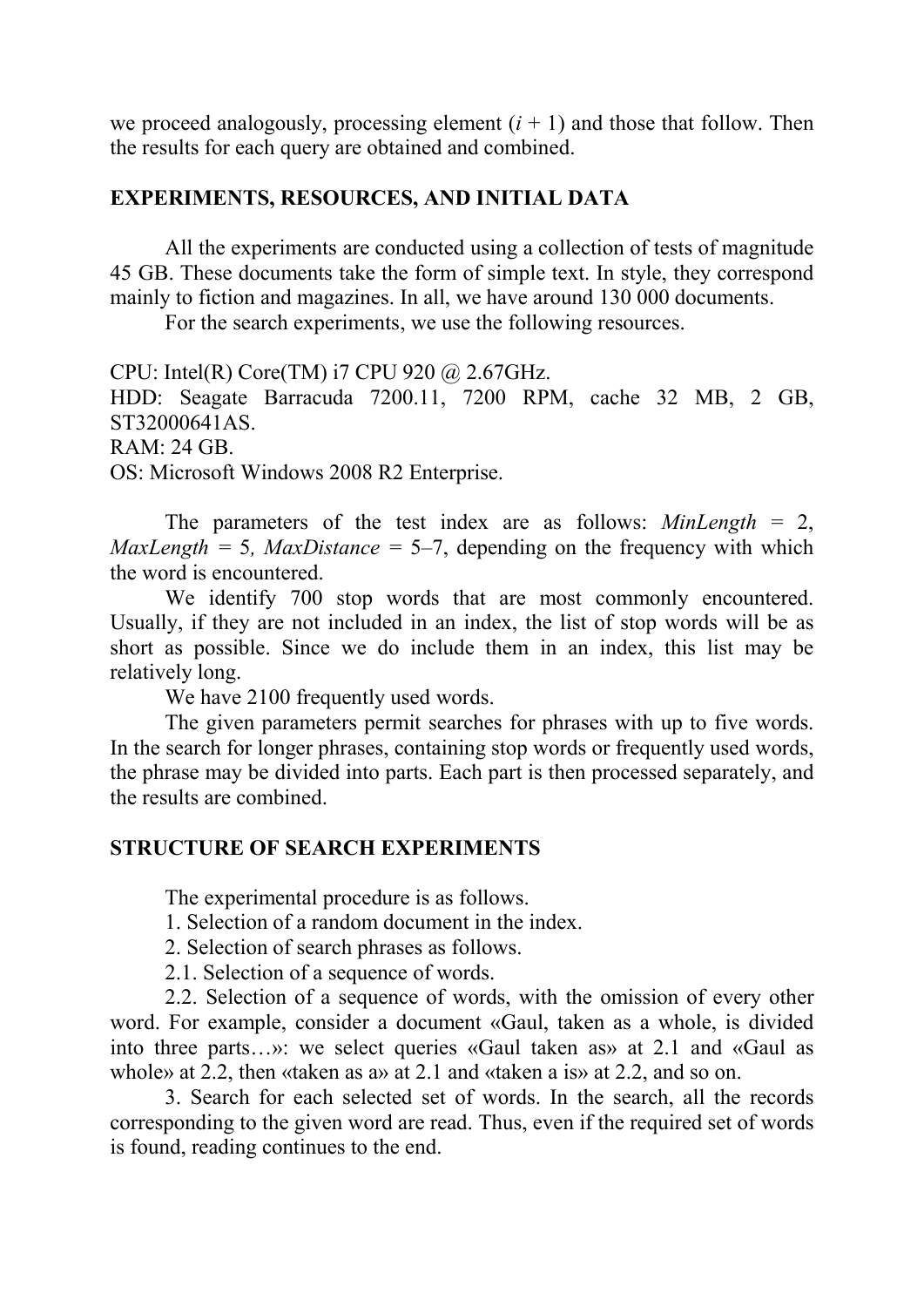we proceed analogously, processing element  $(i + 1)$  and those that follow. Then the results for each query are obtained and combined.

### EXPERIMENTS, RESOURCES, AND INITIAL DATA

All the experiments are conducted using a collection of tests of magnitude 45 GB. These documents take the form of simple text. In style, they correspond mainly to fiction and magazines. In all, we have around 130 000 documents.

For the search experiments, we use the following resources.

CPU: Intel(R) Core(TM) i7 CPU 920 @ 2.67GHz.

HDD: Seagate Barracuda 7200.11, 7200 RPM, cache 32 MB, 2 GB, ST32000641AS.

RAM: 24 GB.

OS: Microsoft Windows 2008 R2 Enterprise.

The parameters of the test index are as follows: *MinLength* = 2, *MaxLength* = 5*, MaxDistance* = 5–7, depending on the frequency with which the word is encountered.

We identify 700 stop words that are most commonly encountered. Usually, if they are not included in an index, the list of stop words will be as short as possible. Since we do include them in an index, this list may be relatively long.

We have 2100 frequently used words.

The given parameters permit searches for phrases with up to five words. In the search for longer phrases, containing stop words or frequently used words, the phrase may be divided into parts. Each part is then processed separately, and the results are combined.

## STRUCTURE OF SEARCH EXPERIMENTS

The experimental procedure is as follows.

1. Selection of a random document in the index.

- 2. Selection of search phrases as follows.
- 2.1. Selection of a sequence of words.

2.2. Selection of a sequence of words, with the omission of every other word. For example, consider a document «Gaul, taken as a whole, is divided into three parts…»: we select queries «Gaul taken as» at 2.1 and «Gaul as whole» at 2.2, then «taken as a» at 2.1 and «taken a is» at 2.2, and so on.

3. Search for each selected set of words. In the search, all the records corresponding to the given word are read. Thus, even if the required set of words is found, reading continues to the end.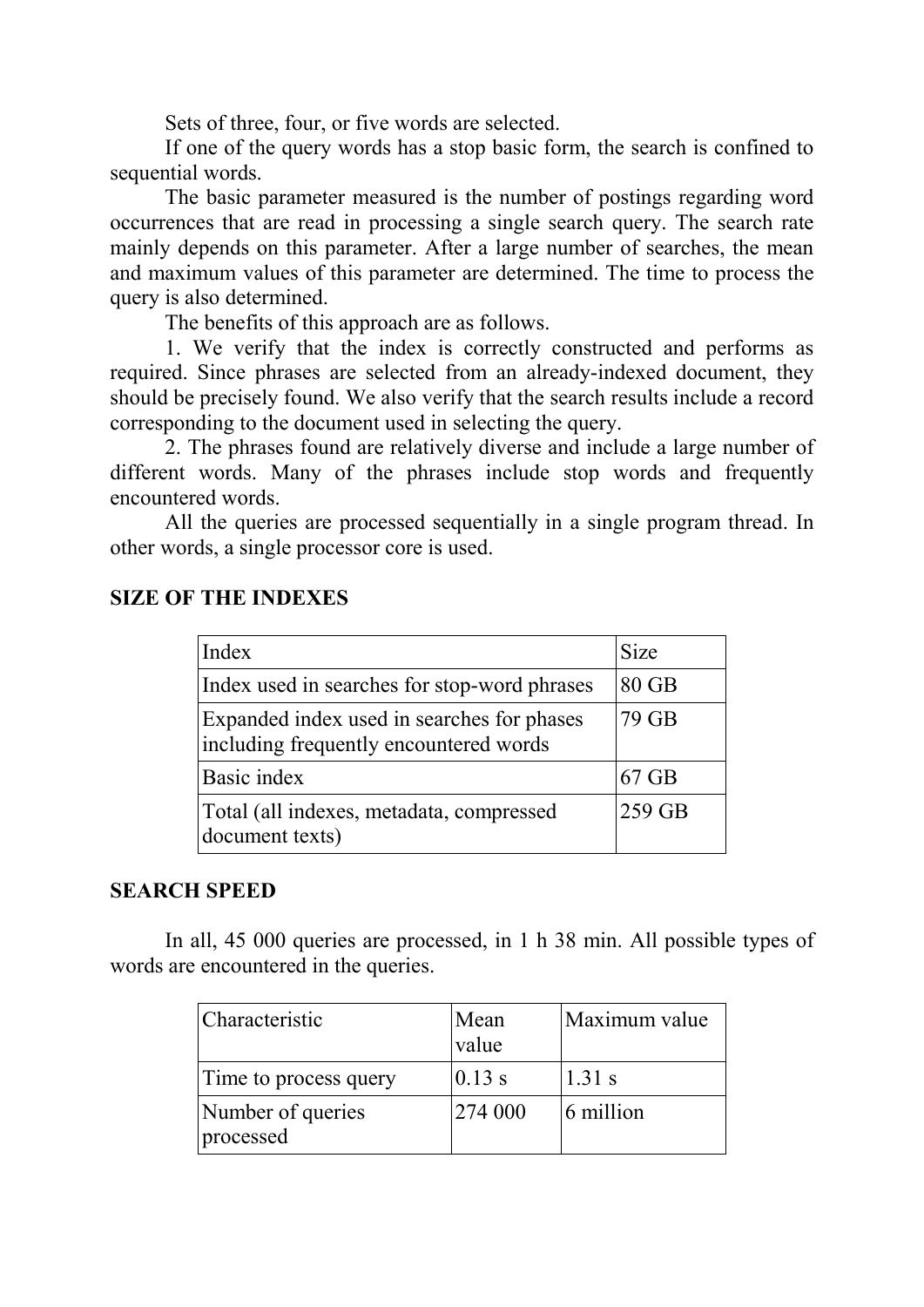Sets of three, four, or five words are selected.

If one of the query words has a stop basic form, the search is confined to sequential words.

The basic parameter measured is the number of postings regarding word occurrences that are read in processing a single search query. The search rate mainly depends on this parameter. After a large number of searches, the mean and maximum values of this parameter are determined. The time to process the query is also determined.

The benefits of this approach are as follows.

1. We verify that the index is correctly constructed and performs as required. Since phrases are selected from an already-indexed document, they should be precisely found. We also verify that the search results include a record corresponding to the document used in selecting the query.

2. The phrases found are relatively diverse and include a large number of different words. Many of the phrases include stop words and frequently encountered words.

All the queries are processed sequentially in a single program thread. In other words, a single processor core is used.

| Index                                                                                | <b>Size</b> |
|--------------------------------------------------------------------------------------|-------------|
| Index used in searches for stop-word phrases                                         | $80$ GB     |
| Expanded index used in searches for phases<br>including frequently encountered words | 79 GB       |
| Basic index                                                                          | $67$ GB     |
| Total (all indexes, metadata, compressed<br>document texts)                          | 259 GB      |

## SIZE OF THE INDEXES

## SEARCH SPEED

In all, 45 000 queries are processed, in 1 h 38 min. All possible types of words are encountered in the queries.

| Characteristic                 | Mean<br>value | Maximum value |
|--------------------------------|---------------|---------------|
| Time to process query          | $0.13$ s      | $1.31$ s      |
| Number of queries<br>processed | 274 000       | 6 million     |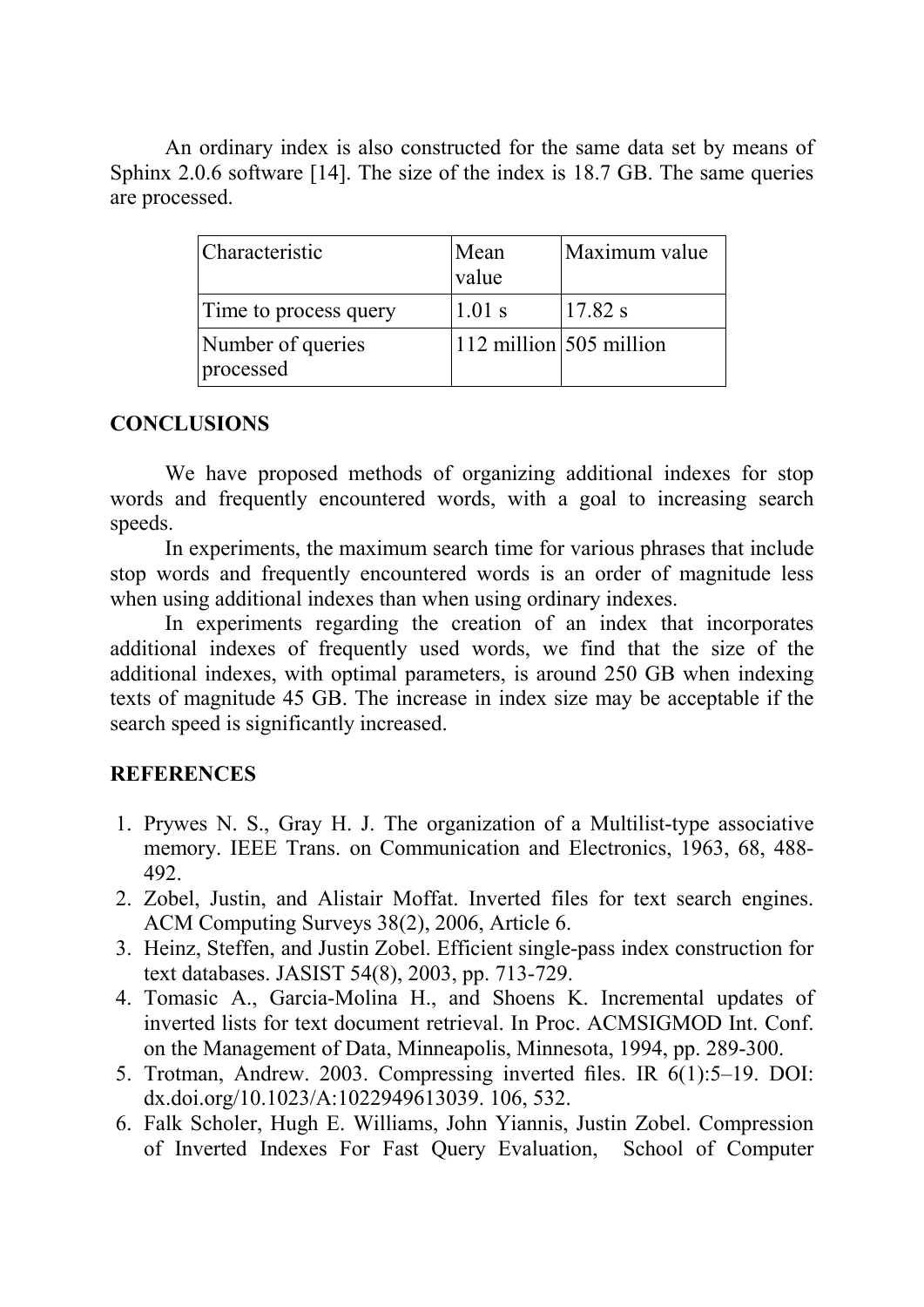An ordinary index is also constructed for the same data set by means of Sphinx 2.0.6 software [14]. The size of the index is 18.7 GB. The same queries are processed.

| Characteristic                 | Mean<br>$\vert$ value     | Maximum value |
|--------------------------------|---------------------------|---------------|
| Time to process query          | $1.01$ s                  | 17.82 s       |
| Number of queries<br>processed | $112$ million 505 million |               |

### **CONCLUSIONS**

We have proposed methods of organizing additional indexes for stop words and frequently encountered words, with a goal to increasing search speeds.

In experiments, the maximum search time for various phrases that include stop words and frequently encountered words is an order of magnitude less when using additional indexes than when using ordinary indexes.

In experiments regarding the creation of an index that incorporates additional indexes of frequently used words, we find that the size of the additional indexes, with optimal parameters, is around 250 GB when indexing texts of magnitude 45 GB. The increase in index size may be acceptable if the search speed is significantly increased.

## **REFERENCES**

- 1. Prywes N. S., Gray H. J. The organization of a Multilist-type associative memory. IEEE Trans. on Communication and Electronics, 1963, 68, 488- 492.
- 2. Zobel, Justin, and Alistair Moffat. Inverted files for text search engines. ACM Computing Surveys 38(2), 2006, Article 6.
- 3. Heinz, Steffen, and Justin Zobel. Efficient single-pass index construction for text databases. JASIST 54(8), 2003, pp. 713-729.
- 4. Tomasic A., Garcia-Molina H., and Shoens K. Incremental updates of inverted lists for text document retrieval. In Proc. ACMSIGMOD Int. Conf. on the Management of Data, Minneapolis, Minnesota, 1994, pp. 289-300.
- 5. Trotman, Andrew. 2003. Compressing inverted files. IR 6(1):5–19. DOI: dx.doi.org/10.1023/A:1022949613039. 106, 532.
- 6. Falk Scholer, Hugh E. Williams, John Yiannis, Justin Zobel. Compression of Inverted Indexes For Fast Query Evaluation, School of Computer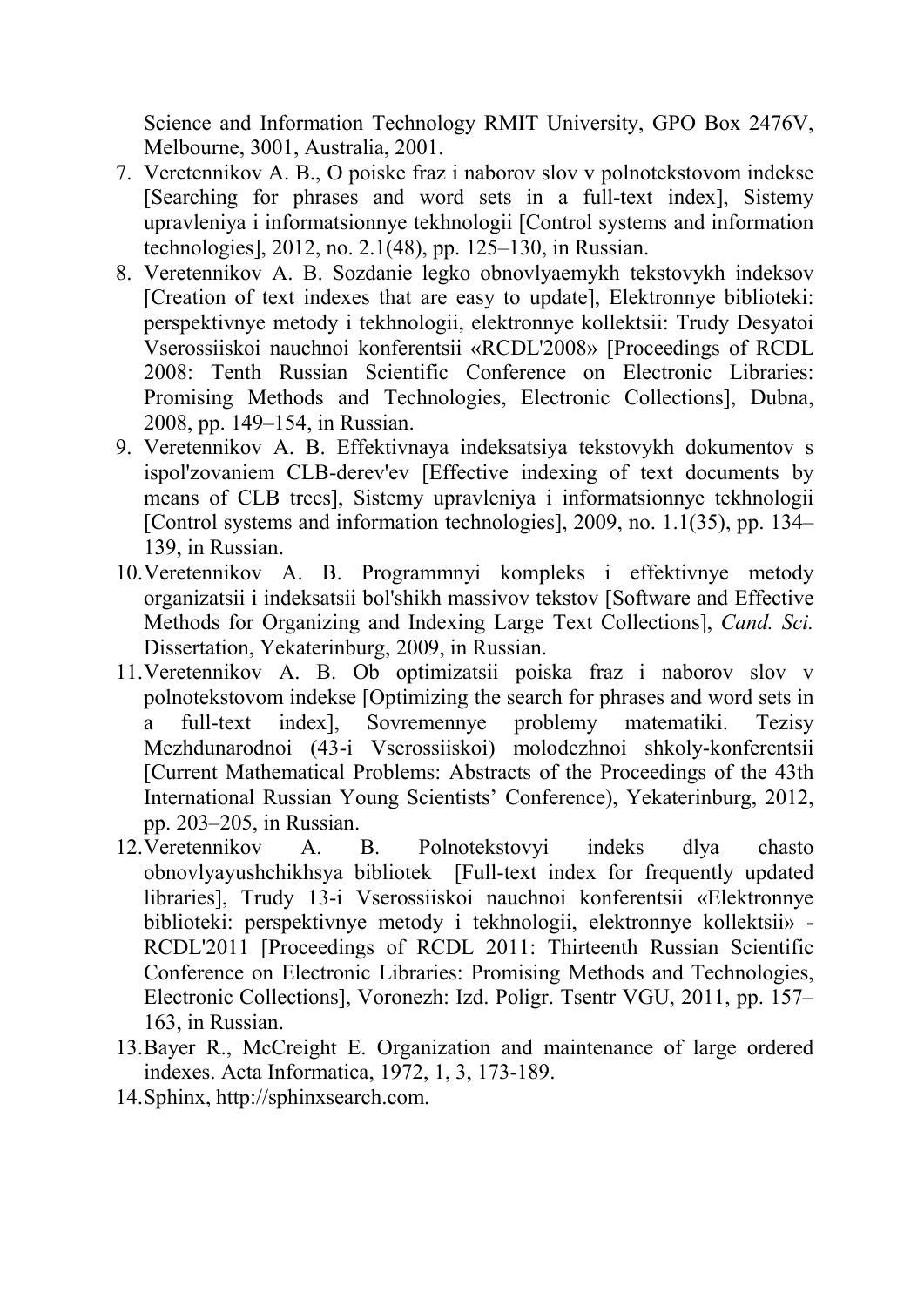Science and Information Technology RMIT University, GPO Box 2476V, Melbourne, 3001, Australia, 2001.

- 7. Veretennikov A. B., O poiske fraz i naborov slov v polnotekstovom indekse [Searching for phrases and word sets in a full-text index], Sistemy upravleniya i informatsionnye tekhnologii [Control systems and information technologies], 2012, no. 2.1(48), pp. 125–130, in Russian.
- 8. Veretennikov A. B. Sozdanie legko obnovlyaemykh tekstovykh indeksov [Creation of text indexes that are easy to update], Elektronnye biblioteki: perspektivnye metody i tekhnologii, elektronnye kollektsii: Trudy Desyatoi Vserossiiskoi nauchnoi konferentsii «RCDL'2008» [Proceedings of RCDL 2008: Tenth Russian Scientific Conference on Electronic Libraries: Promising Methods and Technologies, Electronic Collections], Dubna, 2008, pp. 149–154, in Russian.
- 9. Veretennikov A. B. Effektivnaya indeksatsiya tekstovykh dokumentov s ispol'zovaniem CLB-derev'ev [Effective indexing of text documents by means of CLB trees], Sistemy upravleniya i informatsionnye tekhnologii [Control systems and information technologies], 2009, no. 1.1(35), pp. 134– 139, in Russian.
- 10.Veretennikov A. B. Programmnyi kompleks i effektivnye metody organizatsii i indeksatsii bol'shikh massivov tekstov [Software and Effective Methods for Organizing and Indexing Large Text Collections], *Cand. Sci.*  Dissertation, Yekaterinburg, 2009, in Russian.
- 11.Veretennikov A. B. Ob optimizatsii poiska fraz i naborov slov v polnotekstovom indekse [Optimizing the search for phrases and word sets in a full-text index], Sovremennye problemy matematiki. Tezisy Mezhdunarodnoi (43-i Vserossiiskoi) molodezhnoi shkoly-konferentsii [Current Mathematical Problems: Abstracts of the Proceedings of the 43th International Russian Young Scientists' Conference), Yekaterinburg, 2012, pp. 203–205, in Russian.
- 12.Veretennikov A. B. Polnotekstovyi indeks dlya chasto obnovlyayushchikhsya bibliotek [Full-text index for frequently updated libraries], Trudy 13-i Vserossiiskoi nauchnoi konferentsii «Elektronnye biblioteki: perspektivnye metody i tekhnologii, elektronnye kollektsii» - RCDL'2011 [Proceedings of RCDL 2011: Thirteenth Russian Scientific Conference on Electronic Libraries: Promising Methods and Technologies, Electronic Collections], Voronezh: Izd. Poligr. Tsentr VGU, 2011, pp. 157– 163, in Russian.
- 13.Bayer R., McCreight E. Organization and maintenance of large ordered indexes. Acta Informatica, 1972, 1, 3, 173-189.
- 14.Sphinx, http://sphinxsearch.com.